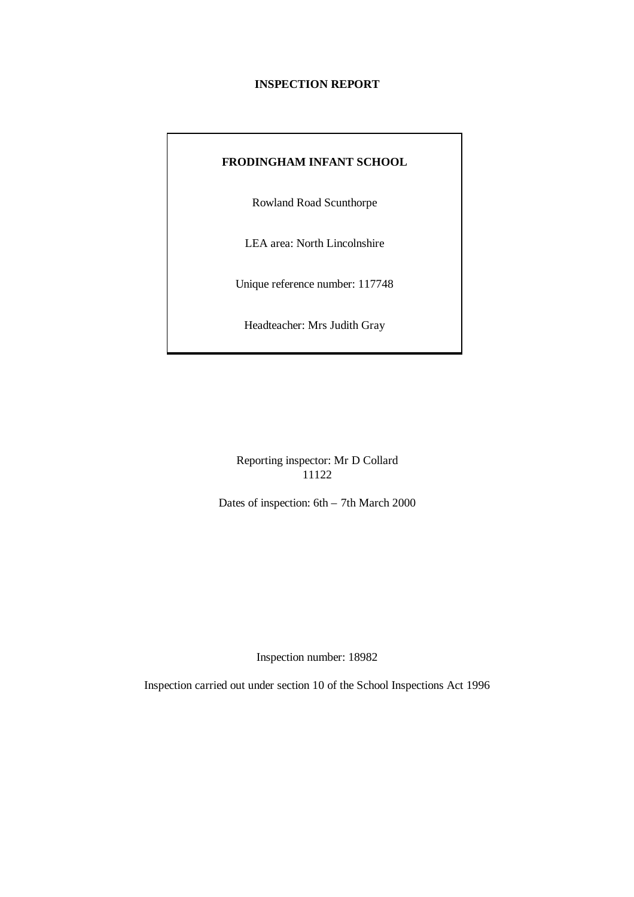#### **INSPECTION REPORT**

### **FRODINGHAM INFANT SCHOOL**

Rowland Road Scunthorpe

LEA area: North Lincolnshire

Unique reference number: 117748

Headteacher: Mrs Judith Gray

Reporting inspector: Mr D Collard 11122

Dates of inspection: 6th – 7th March 2000

Inspection number: 18982

Inspection carried out under section 10 of the School Inspections Act 1996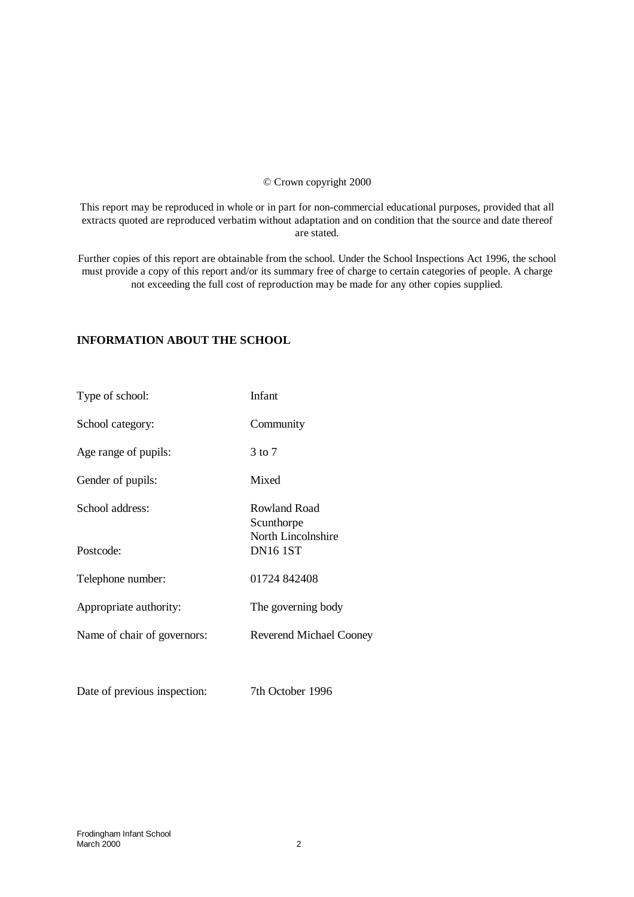#### © Crown copyright 2000

This report may be reproduced in whole or in part for non-commercial educational purposes, provided that all extracts quoted are reproduced verbatim without adaptation and on condition that the source and date thereof are stated.

Further copies of this report are obtainable from the school. Under the School Inspections Act 1996, the school must provide a copy of this report and/or its summary free of charge to certain categories of people. A charge not exceeding the full cost of reproduction may be made for any other copies supplied.

### **INFORMATION ABOUT THE SCHOOL**

| Type of school:              | Infant                                           |
|------------------------------|--------------------------------------------------|
| School category:             | Community                                        |
| Age range of pupils:         | 3 to 7                                           |
| Gender of pupils:            | Mixed                                            |
| School address:              | Rowland Road<br>Scunthorpe<br>North Lincolnshire |
| Postcode:                    | <b>DN16 1ST</b>                                  |
| Telephone number:            | 01724 842408                                     |
| Appropriate authority:       | The governing body                               |
| Name of chair of governors:  | <b>Reverend Michael Cooney</b>                   |
|                              |                                                  |
| Date of previous inspection: | 7th October 1996                                 |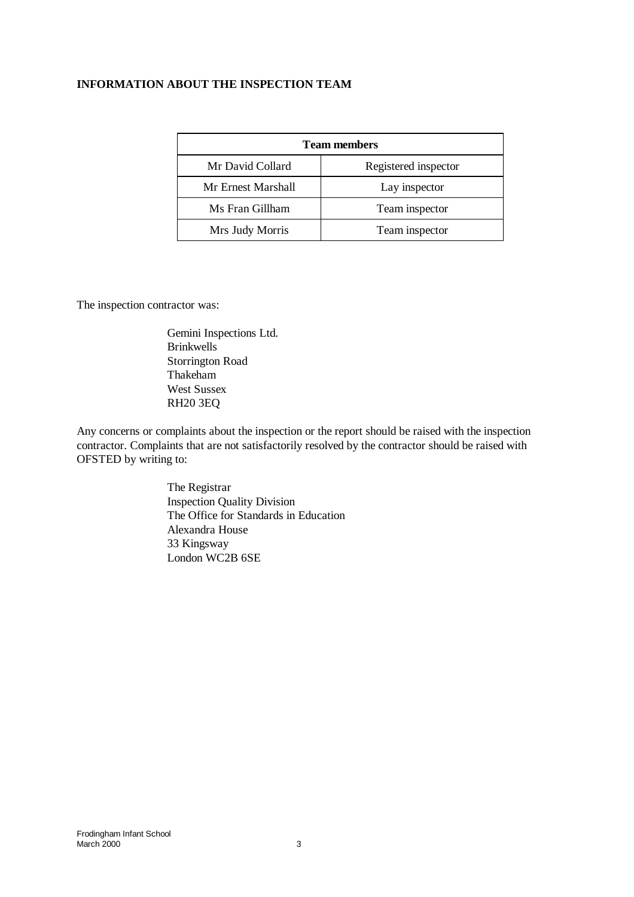## **INFORMATION ABOUT THE INSPECTION TEAM**

| <b>Team members</b> |                      |  |  |
|---------------------|----------------------|--|--|
| Mr David Collard    | Registered inspector |  |  |
| Mr Ernest Marshall  | Lay inspector        |  |  |
| Ms Fran Gillham     | Team inspector       |  |  |
| Mrs Judy Morris     | Team inspector       |  |  |

The inspection contractor was:

Gemini Inspections Ltd. Brinkwells Storrington Road Thakeham West Sussex RH20 3EQ

Any concerns or complaints about the inspection or the report should be raised with the inspection contractor. Complaints that are not satisfactorily resolved by the contractor should be raised with OFSTED by writing to:

> The Registrar Inspection Quality Division The Office for Standards in Education Alexandra House 33 Kingsway London WC2B 6SE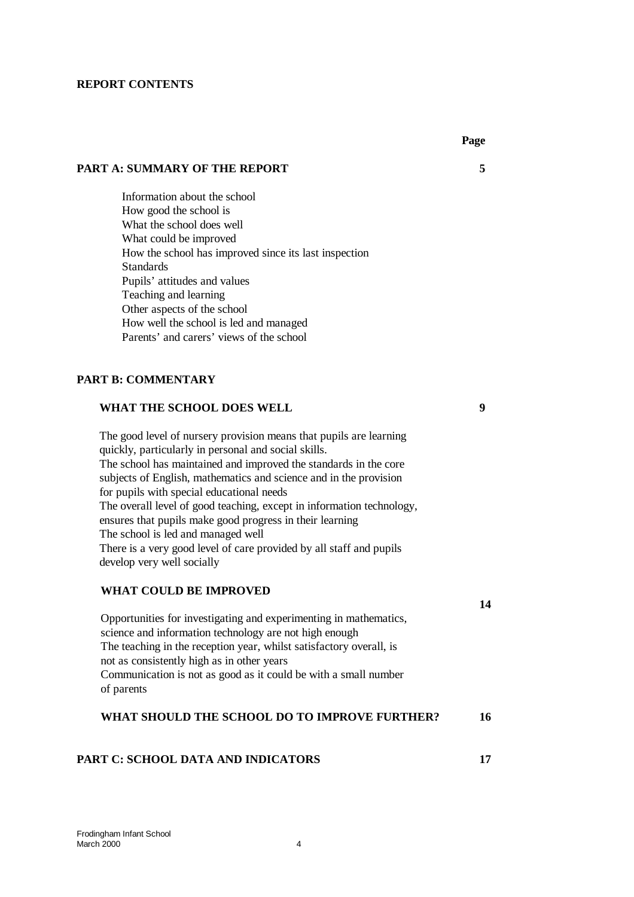#### **REPORT CONTENTS**

#### **PART A: SUMMARY OF THE REPORT 5**

Information about the school How good the school is What the school does well What could be improved How the school has improved since its last inspection **Standards** Pupils' attitudes and values Teaching and learning Other aspects of the school How well the school is led and managed Parents' and carers' views of the school

#### **PART B: COMMENTARY**

#### **WHAT THE SCHOOL DOES WELL 9**

The good level of nursery provision means that pupils are learning quickly, particularly in personal and social skills. The school has maintained and improved the standards in the core subjects of English, mathematics and science and in the provision for pupils with special educational needs The overall level of good teaching, except in information technology, ensures that pupils make good progress in their learning The school is led and managed well There is a very good level of care provided by all staff and pupils develop very well socially

#### WHAT COULD BE **IMPROVED**

Opportunities for investigating and experimenting in mathematics, science and information technology are not high enough The teaching in the reception year, whilst satisfactory overall, is not as consistently high as in other years Communication is not as good as it could be with a small number of parents

## **WHAT SHOULD THE SCHOOL DO TO IMPROVE FURTHER? 16**

#### **PART C: SCHOOL DATA AND INDICATORS 17**

Frodingham Infant School March 2000 4

**14**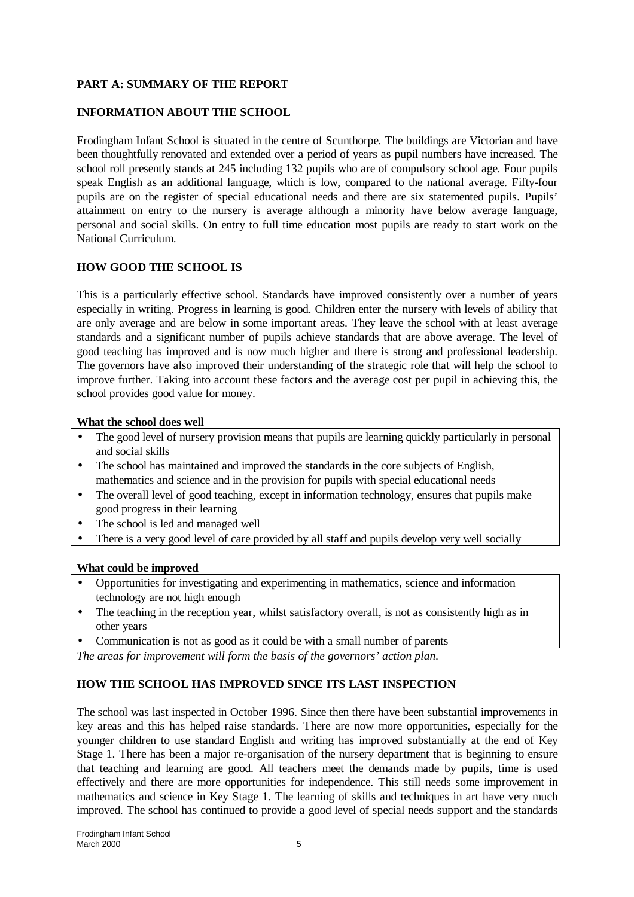# **PART A: SUMMARY OF THE REPORT**

## **INFORMATION ABOUT THE SCHOOL**

Frodingham Infant School is situated in the centre of Scunthorpe. The buildings are Victorian and have been thoughtfully renovated and extended over a period of years as pupil numbers have increased. The school roll presently stands at 245 including 132 pupils who are of compulsory school age. Four pupils speak English as an additional language, which is low, compared to the national average. Fifty-four pupils are on the register of special educational needs and there are six statemented pupils. Pupils' attainment on entry to the nursery is average although a minority have below average language, personal and social skills. On entry to full time education most pupils are ready to start work on the National Curriculum.

### **HOW GOOD THE SCHOOL IS**

This is a particularly effective school. Standards have improved consistently over a number of years especially in writing. Progress in learning is good. Children enter the nursery with levels of ability that are only average and are below in some important areas. They leave the school with at least average standards and a significant number of pupils achieve standards that are above average. The level of good teaching has improved and is now much higher and there is strong and professional leadership. The governors have also improved their understanding of the strategic role that will help the school to improve further. Taking into account these factors and the average cost per pupil in achieving this, the school provides good value for money.

#### **What the school does well**

- The good level of nursery provision means that pupils are learning quickly particularly in personal and social skills
- The school has maintained and improved the standards in the core subjects of English, mathematics and science and in the provision for pupils with special educational needs
- The overall level of good teaching, except in information technology, ensures that pupils make good progress in their learning
- The school is led and managed well
- There is a very good level of care provided by all staff and pupils develop very well socially

#### **What could be improved**

- Opportunities for investigating and experimenting in mathematics, science and information technology are not high enough
- The teaching in the reception year, whilst satisfactory overall, is not as consistently high as in other years
- Communication is not as good as it could be with a small number of parents

*The areas for improvement will form the basis of the governors' action plan.*

# **HOW THE SCHOOL HAS IMPROVED SINCE ITS LAST INSPECTION**

The school was last inspected in October 1996. Since then there have been substantial improvements in key areas and this has helped raise standards. There are now more opportunities, especially for the younger children to use standard English and writing has improved substantially at the end of Key Stage 1. There has been a major re-organisation of the nursery department that is beginning to ensure that teaching and learning are good. All teachers meet the demands made by pupils, time is used effectively and there are more opportunities for independence. This still needs some improvement in mathematics and science in Key Stage 1. The learning of skills and techniques in art have very much improved. The school has continued to provide a good level of special needs support and the standards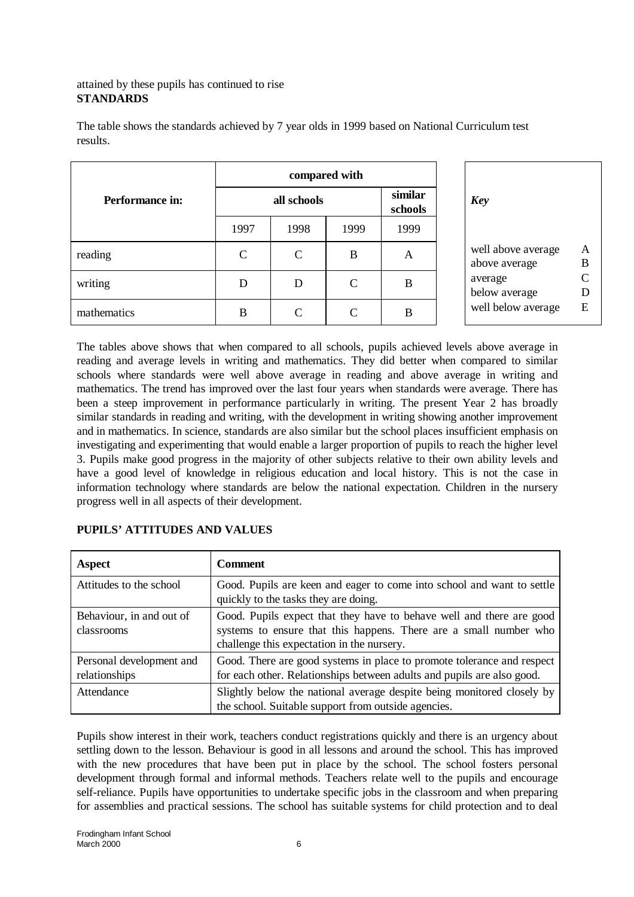# attained by these pupils has continued to rise **STANDARDS**

|                        |               |                             | compared with |                    |                                     |                                    |
|------------------------|---------------|-----------------------------|---------------|--------------------|-------------------------------------|------------------------------------|
| <b>Performance in:</b> |               | all schools                 |               | similar<br>schools | <b>Key</b>                          |                                    |
|                        | 1997          | 1998                        | 1999          | 1999               |                                     |                                    |
| reading                | $\mathcal{C}$ | $\mathcal{C}$               | B             | A                  | well above average<br>above average | $\boldsymbol{A}$<br>$\overline{B}$ |
| writing                | D             | D                           | $\mathcal{C}$ | B                  | average<br>below average            | $\mathcal{C}$<br>D                 |
| mathematics            | B             | $\mathcal{C}_{\mathcal{C}}$ | $\mathcal{C}$ | B                  | well below average                  | E                                  |

The table shows the standards achieved by 7 year olds in 1999 based on National Curriculum test results.

The tables above shows that when compared to all schools, pupils achieved levels above average in reading and average levels in writing and mathematics. They did better when compared to similar schools where standards were well above average in reading and above average in writing and mathematics. The trend has improved over the last four years when standards were average. There has been a steep improvement in performance particularly in writing. The present Year 2 has broadly similar standards in reading and writing, with the development in writing showing another improvement and in mathematics. In science, standards are also similar but the school places insufficient emphasis on investigating and experimenting that would enable a larger proportion of pupils to reach the higher level 3. Pupils make good progress in the majority of other subjects relative to their own ability levels and have a good level of knowledge in religious education and local history. This is not the case in information technology where standards are below the national expectation. Children in the nursery progress well in all aspects of their development.

| <b>Aspect</b>                             | <b>Comment</b>                                                                                                                                                                          |
|-------------------------------------------|-----------------------------------------------------------------------------------------------------------------------------------------------------------------------------------------|
| Attitudes to the school                   | Good. Pupils are keen and eager to come into school and want to settle<br>quickly to the tasks they are doing.                                                                          |
| Behaviour, in and out of<br>classrooms    | Good. Pupils expect that they have to behave well and there are good<br>systems to ensure that this happens. There are a small number who<br>challenge this expectation in the nursery. |
| Personal development and<br>relationships | Good. There are good systems in place to promote tolerance and respect<br>for each other. Relationships between adults and pupils are also good.                                        |
| Attendance                                | Slightly below the national average despite being monitored closely by<br>the school. Suitable support from outside agencies.                                                           |

## **PUPILS' ATTITUDES AND VALUES**

Pupils show interest in their work, teachers conduct registrations quickly and there is an urgency about settling down to the lesson. Behaviour is good in all lessons and around the school. This has improved with the new procedures that have been put in place by the school. The school fosters personal development through formal and informal methods. Teachers relate well to the pupils and encourage self-reliance. Pupils have opportunities to undertake specific jobs in the classroom and when preparing for assemblies and practical sessions. The school has suitable systems for child protection and to deal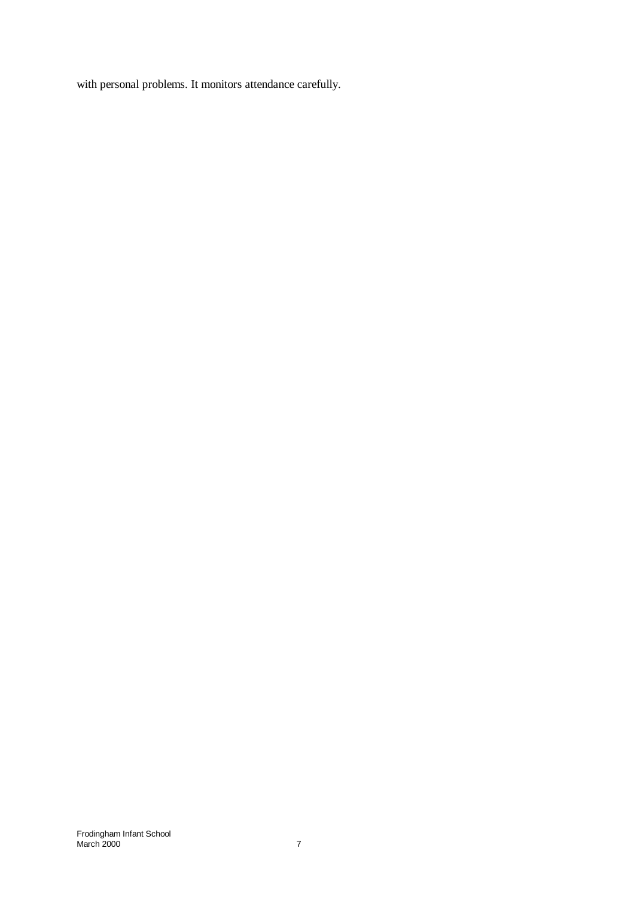with personal problems. It monitors attendance carefully.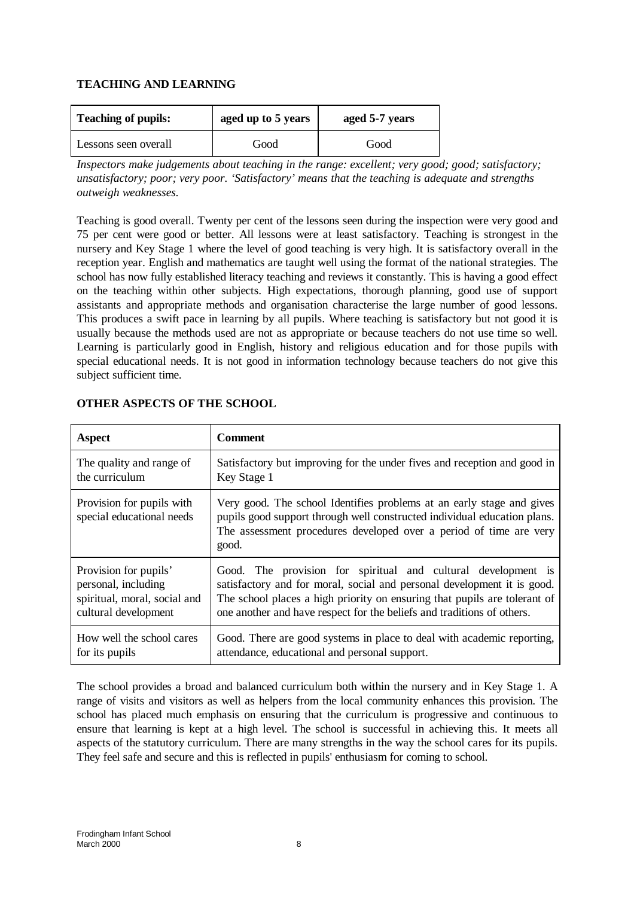# **TEACHING AND LEARNING**

| <b>Teaching of pupils:</b> | aged up to 5 years | aged 5-7 years |
|----------------------------|--------------------|----------------|
| Lessons seen overall       | Good               | Good           |

*Inspectors make judgements about teaching in the range: excellent; very good; good; satisfactory; unsatisfactory; poor; very poor. 'Satisfactory' means that the teaching is adequate and strengths outweigh weaknesses.*

Teaching is good overall. Twenty per cent of the lessons seen during the inspection were very good and 75 per cent were good or better. All lessons were at least satisfactory. Teaching is strongest in the nursery and Key Stage 1 where the level of good teaching is very high. It is satisfactory overall in the reception year. English and mathematics are taught well using the format of the national strategies. The school has now fully established literacy teaching and reviews it constantly. This is having a good effect on the teaching within other subjects. High expectations, thorough planning, good use of support assistants and appropriate methods and organisation characterise the large number of good lessons. This produces a swift pace in learning by all pupils. Where teaching is satisfactory but not good it is usually because the methods used are not as appropriate or because teachers do not use time so well. Learning is particularly good in English, history and religious education and for those pupils with special educational needs. It is not good in information technology because teachers do not give this subject sufficient time.

| Aspect                                                 | <b>Comment</b>                                                                                                                                                                                                                   |
|--------------------------------------------------------|----------------------------------------------------------------------------------------------------------------------------------------------------------------------------------------------------------------------------------|
| The quality and range of                               | Satisfactory but improving for the under fives and reception and good in                                                                                                                                                         |
| the curriculum                                         | Key Stage 1                                                                                                                                                                                                                      |
| Provision for pupils with<br>special educational needs | Very good. The school Identifies problems at an early stage and gives<br>pupils good support through well constructed individual education plans.<br>The assessment procedures developed over a period of time are very<br>good. |
| Provision for pupils'                                  | Good. The provision for spiritual and cultural development is                                                                                                                                                                    |
| personal, including                                    | satisfactory and for moral, social and personal development it is good.                                                                                                                                                          |
| spiritual, moral, social and                           | The school places a high priority on ensuring that pupils are tolerant of                                                                                                                                                        |
| cultural development                                   | one another and have respect for the beliefs and traditions of others.                                                                                                                                                           |
| How well the school cares                              | Good. There are good systems in place to deal with academic reporting,                                                                                                                                                           |
| for its pupils                                         | attendance, educational and personal support.                                                                                                                                                                                    |

# **OTHER ASPECTS OF THE SCHOOL**

The school provides a broad and balanced curriculum both within the nursery and in Key Stage 1. A range of visits and visitors as well as helpers from the local community enhances this provision. The school has placed much emphasis on ensuring that the curriculum is progressive and continuous to ensure that learning is kept at a high level. The school is successful in achieving this. It meets all aspects of the statutory curriculum. There are many strengths in the way the school cares for its pupils. They feel safe and secure and this is reflected in pupils' enthusiasm for coming to school.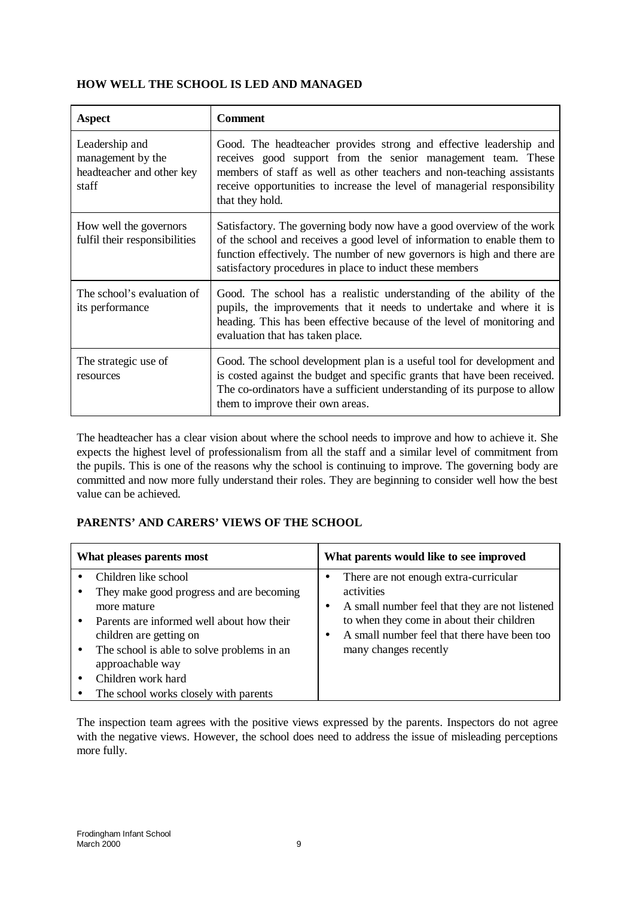# **HOW WELL THE SCHOOL IS LED AND MANAGED**

| <b>Aspect</b>                                                             | <b>Comment</b>                                                                                                                                                                                                                                                                                              |
|---------------------------------------------------------------------------|-------------------------------------------------------------------------------------------------------------------------------------------------------------------------------------------------------------------------------------------------------------------------------------------------------------|
| Leadership and<br>management by the<br>headteacher and other key<br>staff | Good. The headteacher provides strong and effective leadership and<br>receives good support from the senior management team. These<br>members of staff as well as other teachers and non-teaching assistants<br>receive opportunities to increase the level of managerial responsibility<br>that they hold. |
| How well the governors<br>fulfil their responsibilities                   | Satisfactory. The governing body now have a good overview of the work<br>of the school and receives a good level of information to enable them to<br>function effectively. The number of new governors is high and there are<br>satisfactory procedures in place to induct these members                    |
| The school's evaluation of<br>its performance                             | Good. The school has a realistic understanding of the ability of the<br>pupils, the improvements that it needs to undertake and where it is<br>heading. This has been effective because of the level of monitoring and<br>evaluation that has taken place.                                                  |
| The strategic use of<br>resources                                         | Good. The school development plan is a useful tool for development and<br>is costed against the budget and specific grants that have been received.<br>The co-ordinators have a sufficient understanding of its purpose to allow<br>them to improve their own areas.                                        |

The headteacher has a clear vision about where the school needs to improve and how to achieve it. She expects the highest level of professionalism from all the staff and a similar level of commitment from the pupils. This is one of the reasons why the school is continuing to improve. The governing body are committed and now more fully understand their roles. They are beginning to consider well how the best value can be achieved.

# **PARENTS' AND CARERS' VIEWS OF THE SCHOOL**

| What pleases parents most                                                                                                                                                                                                                                                                | What parents would like to see improved                                                                                                                                                                                               |
|------------------------------------------------------------------------------------------------------------------------------------------------------------------------------------------------------------------------------------------------------------------------------------------|---------------------------------------------------------------------------------------------------------------------------------------------------------------------------------------------------------------------------------------|
| Children like school<br>They make good progress and are becoming<br>more mature<br>Parents are informed well about how their<br>children are getting on<br>The school is able to solve problems in an<br>approachable way<br>Children work hard<br>The school works closely with parents | There are not enough extra-curricular<br>activities<br>A small number feel that they are not listened<br>٠<br>to when they come in about their children<br>A small number feel that there have been too<br>٠<br>many changes recently |

The inspection team agrees with the positive views expressed by the parents. Inspectors do not agree with the negative views. However, the school does need to address the issue of misleading perceptions more fully.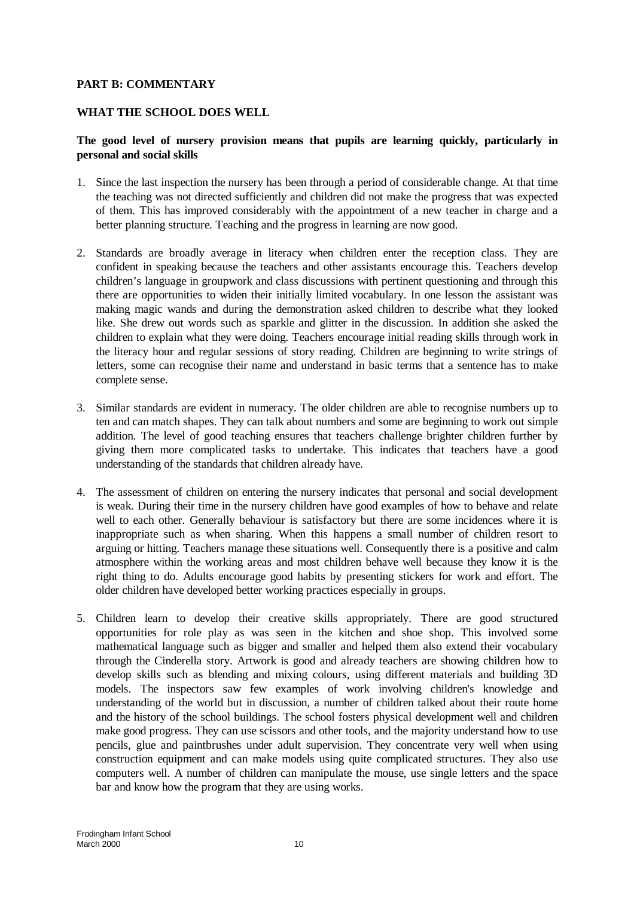### **PART B: COMMENTARY**

### **WHAT THE SCHOOL DOES WELL**

## **The good level of nursery provision means that pupils are learning quickly, particularly in personal and social skills**

- 1. Since the last inspection the nursery has been through a period of considerable change. At that time the teaching was not directed sufficiently and children did not make the progress that was expected of them. This has improved considerably with the appointment of a new teacher in charge and a better planning structure. Teaching and the progress in learning are now good.
- 2. Standards are broadly average in literacy when children enter the reception class. They are confident in speaking because the teachers and other assistants encourage this. Teachers develop children's language in groupwork and class discussions with pertinent questioning and through this there are opportunities to widen their initially limited vocabulary. In one lesson the assistant was making magic wands and during the demonstration asked children to describe what they looked like. She drew out words such as sparkle and glitter in the discussion. In addition she asked the children to explain what they were doing. Teachers encourage initial reading skills through work in the literacy hour and regular sessions of story reading. Children are beginning to write strings of letters, some can recognise their name and understand in basic terms that a sentence has to make complete sense.
- 3. Similar standards are evident in numeracy. The older children are able to recognise numbers up to ten and can match shapes. They can talk about numbers and some are beginning to work out simple addition. The level of good teaching ensures that teachers challenge brighter children further by giving them more complicated tasks to undertake. This indicates that teachers have a good understanding of the standards that children already have.
- 4. The assessment of children on entering the nursery indicates that personal and social development is weak. During their time in the nursery children have good examples of how to behave and relate well to each other. Generally behaviour is satisfactory but there are some incidences where it is inappropriate such as when sharing. When this happens a small number of children resort to arguing or hitting. Teachers manage these situations well. Consequently there is a positive and calm atmosphere within the working areas and most children behave well because they know it is the right thing to do. Adults encourage good habits by presenting stickers for work and effort. The older children have developed better working practices especially in groups.
- 5. Children learn to develop their creative skills appropriately. There are good structured opportunities for role play as was seen in the kitchen and shoe shop. This involved some mathematical language such as bigger and smaller and helped them also extend their vocabulary through the Cinderella story. Artwork is good and already teachers are showing children how to develop skills such as blending and mixing colours, using different materials and building 3D models. The inspectors saw few examples of work involving children's knowledge and understanding of the world but in discussion, a number of children talked about their route home and the history of the school buildings. The school fosters physical development well and children make good progress. They can use scissors and other tools, and the majority understand how to use pencils, glue and paintbrushes under adult supervision. They concentrate very well when using construction equipment and can make models using quite complicated structures. They also use computers well. A number of children can manipulate the mouse, use single letters and the space bar and know how the program that they are using works.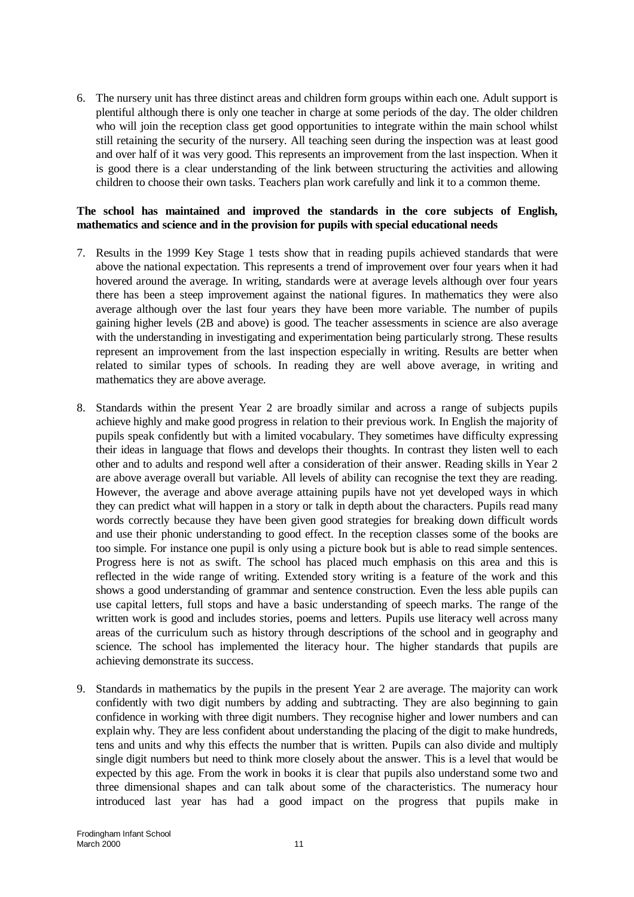6. The nursery unit has three distinct areas and children form groups within each one. Adult support is plentiful although there is only one teacher in charge at some periods of the day. The older children who will join the reception class get good opportunities to integrate within the main school whilst still retaining the security of the nursery. All teaching seen during the inspection was at least good and over half of it was very good. This represents an improvement from the last inspection. When it is good there is a clear understanding of the link between structuring the activities and allowing children to choose their own tasks. Teachers plan work carefully and link it to a common theme.

## **The school has maintained and improved the standards in the core subjects of English, mathematics and science and in the provision for pupils with special educational needs**

- 7. Results in the 1999 Key Stage 1 tests show that in reading pupils achieved standards that were above the national expectation. This represents a trend of improvement over four years when it had hovered around the average. In writing, standards were at average levels although over four years there has been a steep improvement against the national figures. In mathematics they were also average although over the last four years they have been more variable. The number of pupils gaining higher levels (2B and above) is good. The teacher assessments in science are also average with the understanding in investigating and experimentation being particularly strong. These results represent an improvement from the last inspection especially in writing. Results are better when related to similar types of schools. In reading they are well above average, in writing and mathematics they are above average.
- 8. Standards within the present Year 2 are broadly similar and across a range of subjects pupils achieve highly and make good progress in relation to their previous work. In English the majority of pupils speak confidently but with a limited vocabulary. They sometimes have difficulty expressing their ideas in language that flows and develops their thoughts. In contrast they listen well to each other and to adults and respond well after a consideration of their answer. Reading skills in Year 2 are above average overall but variable. All levels of ability can recognise the text they are reading. However, the average and above average attaining pupils have not yet developed ways in which they can predict what will happen in a story or talk in depth about the characters. Pupils read many words correctly because they have been given good strategies for breaking down difficult words and use their phonic understanding to good effect. In the reception classes some of the books are too simple. For instance one pupil is only using a picture book but is able to read simple sentences. Progress here is not as swift. The school has placed much emphasis on this area and this is reflected in the wide range of writing. Extended story writing is a feature of the work and this shows a good understanding of grammar and sentence construction. Even the less able pupils can use capital letters, full stops and have a basic understanding of speech marks. The range of the written work is good and includes stories, poems and letters. Pupils use literacy well across many areas of the curriculum such as history through descriptions of the school and in geography and science. The school has implemented the literacy hour. The higher standards that pupils are achieving demonstrate its success.
- 9. Standards in mathematics by the pupils in the present Year 2 are average. The majority can work confidently with two digit numbers by adding and subtracting. They are also beginning to gain confidence in working with three digit numbers. They recognise higher and lower numbers and can explain why. They are less confident about understanding the placing of the digit to make hundreds, tens and units and why this effects the number that is written. Pupils can also divide and multiply single digit numbers but need to think more closely about the answer. This is a level that would be expected by this age. From the work in books it is clear that pupils also understand some two and three dimensional shapes and can talk about some of the characteristics. The numeracy hour introduced last year has had a good impact on the progress that pupils make in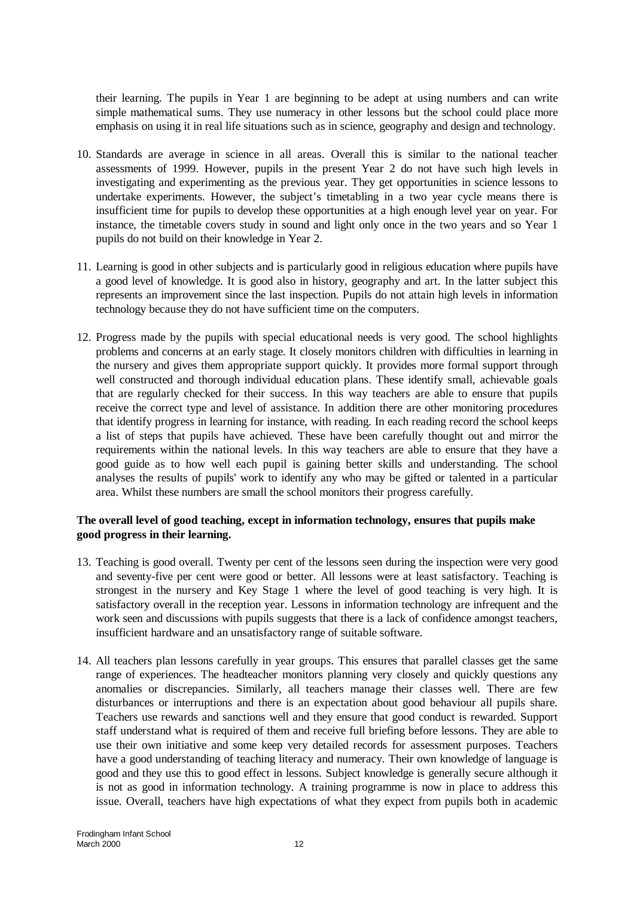their learning. The pupils in Year 1 are beginning to be adept at using numbers and can write simple mathematical sums. They use numeracy in other lessons but the school could place more emphasis on using it in real life situations such as in science, geography and design and technology.

- 10. Standards are average in science in all areas. Overall this is similar to the national teacher assessments of 1999. However, pupils in the present Year 2 do not have such high levels in investigating and experimenting as the previous year. They get opportunities in science lessons to undertake experiments. However, the subject's timetabling in a two year cycle means there is insufficient time for pupils to develop these opportunities at a high enough level year on year. For instance, the timetable covers study in sound and light only once in the two years and so Year 1 pupils do not build on their knowledge in Year 2.
- 11. Learning is good in other subjects and is particularly good in religious education where pupils have a good level of knowledge. It is good also in history, geography and art. In the latter subject this represents an improvement since the last inspection. Pupils do not attain high levels in information technology because they do not have sufficient time on the computers.
- 12. Progress made by the pupils with special educational needs is very good. The school highlights problems and concerns at an early stage. It closely monitors children with difficulties in learning in the nursery and gives them appropriate support quickly. It provides more formal support through well constructed and thorough individual education plans. These identify small, achievable goals that are regularly checked for their success. In this way teachers are able to ensure that pupils receive the correct type and level of assistance. In addition there are other monitoring procedures that identify progress in learning for instance, with reading. In each reading record the school keeps a list of steps that pupils have achieved. These have been carefully thought out and mirror the requirements within the national levels. In this way teachers are able to ensure that they have a good guide as to how well each pupil is gaining better skills and understanding. The school analyses the results of pupils' work to identify any who may be gifted or talented in a particular area. Whilst these numbers are small the school monitors their progress carefully.

### **The overall level of good teaching, except in information technology, ensures that pupils make good progress in their learning.**

- 13. Teaching is good overall. Twenty per cent of the lessons seen during the inspection were very good and seventy-five per cent were good or better. All lessons were at least satisfactory. Teaching is strongest in the nursery and Key Stage 1 where the level of good teaching is very high. It is satisfactory overall in the reception year. Lessons in information technology are infrequent and the work seen and discussions with pupils suggests that there is a lack of confidence amongst teachers, insufficient hardware and an unsatisfactory range of suitable software.
- 14. All teachers plan lessons carefully in year groups. This ensures that parallel classes get the same range of experiences. The headteacher monitors planning very closely and quickly questions any anomalies or discrepancies. Similarly, all teachers manage their classes well. There are few disturbances or interruptions and there is an expectation about good behaviour all pupils share. Teachers use rewards and sanctions well and they ensure that good conduct is rewarded. Support staff understand what is required of them and receive full briefing before lessons. They are able to use their own initiative and some keep very detailed records for assessment purposes. Teachers have a good understanding of teaching literacy and numeracy. Their own knowledge of language is good and they use this to good effect in lessons. Subject knowledge is generally secure although it is not as good in information technology. A training programme is now in place to address this issue. Overall, teachers have high expectations of what they expect from pupils both in academic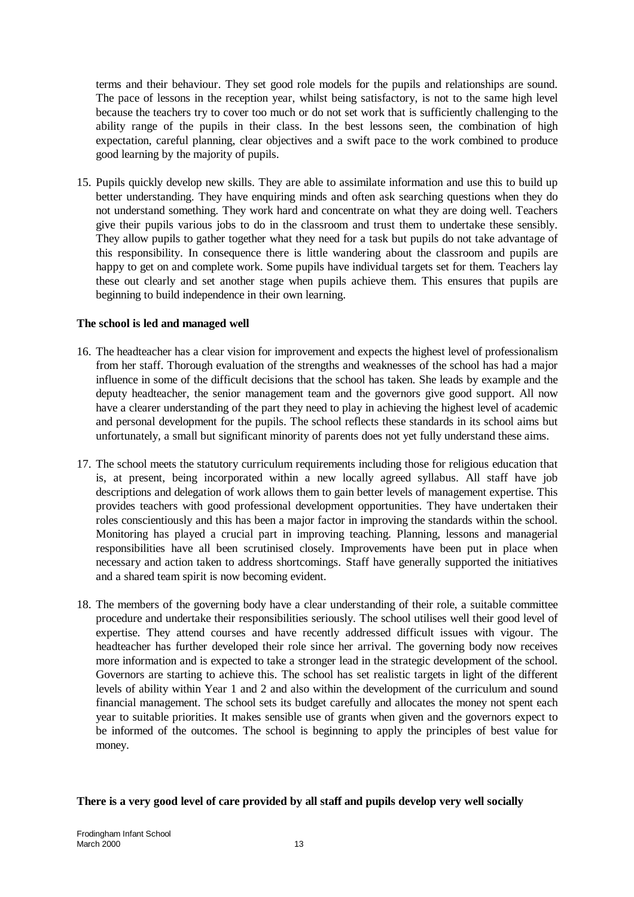terms and their behaviour. They set good role models for the pupils and relationships are sound. The pace of lessons in the reception year, whilst being satisfactory, is not to the same high level because the teachers try to cover too much or do not set work that is sufficiently challenging to the ability range of the pupils in their class. In the best lessons seen, the combination of high expectation, careful planning, clear objectives and a swift pace to the work combined to produce good learning by the majority of pupils.

15. Pupils quickly develop new skills. They are able to assimilate information and use this to build up better understanding. They have enquiring minds and often ask searching questions when they do not understand something. They work hard and concentrate on what they are doing well. Teachers give their pupils various jobs to do in the classroom and trust them to undertake these sensibly. They allow pupils to gather together what they need for a task but pupils do not take advantage of this responsibility. In consequence there is little wandering about the classroom and pupils are happy to get on and complete work. Some pupils have individual targets set for them. Teachers lay these out clearly and set another stage when pupils achieve them. This ensures that pupils are beginning to build independence in their own learning.

### **The school is led and managed well**

- 16. The headteacher has a clear vision for improvement and expects the highest level of professionalism from her staff. Thorough evaluation of the strengths and weaknesses of the school has had a major influence in some of the difficult decisions that the school has taken. She leads by example and the deputy headteacher, the senior management team and the governors give good support. All now have a clearer understanding of the part they need to play in achieving the highest level of academic and personal development for the pupils. The school reflects these standards in its school aims but unfortunately, a small but significant minority of parents does not yet fully understand these aims.
- 17. The school meets the statutory curriculum requirements including those for religious education that is, at present, being incorporated within a new locally agreed syllabus. All staff have job descriptions and delegation of work allows them to gain better levels of management expertise. This provides teachers with good professional development opportunities. They have undertaken their roles conscientiously and this has been a major factor in improving the standards within the school. Monitoring has played a crucial part in improving teaching. Planning, lessons and managerial responsibilities have all been scrutinised closely. Improvements have been put in place when necessary and action taken to address shortcomings. Staff have generally supported the initiatives and a shared team spirit is now becoming evident.
- 18. The members of the governing body have a clear understanding of their role, a suitable committee procedure and undertake their responsibilities seriously. The school utilises well their good level of expertise. They attend courses and have recently addressed difficult issues with vigour. The headteacher has further developed their role since her arrival. The governing body now receives more information and is expected to take a stronger lead in the strategic development of the school. Governors are starting to achieve this. The school has set realistic targets in light of the different levels of ability within Year 1 and 2 and also within the development of the curriculum and sound financial management. The school sets its budget carefully and allocates the money not spent each year to suitable priorities. It makes sensible use of grants when given and the governors expect to be informed of the outcomes. The school is beginning to apply the principles of best value for money.

#### **There is a very good level of care provided by all staff and pupils develop very well socially**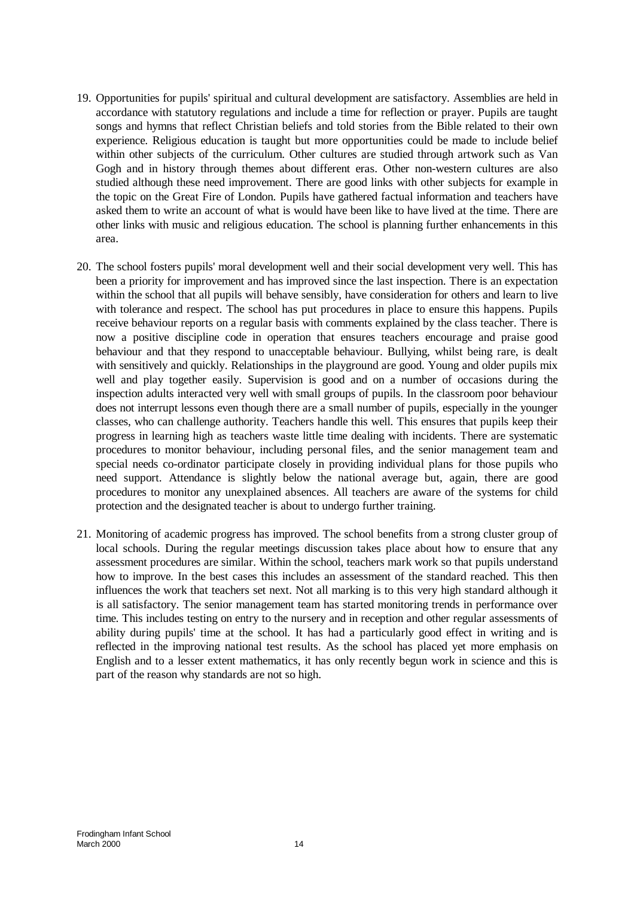- 19. Opportunities for pupils' spiritual and cultural development are satisfactory. Assemblies are held in accordance with statutory regulations and include a time for reflection or prayer. Pupils are taught songs and hymns that reflect Christian beliefs and told stories from the Bible related to their own experience. Religious education is taught but more opportunities could be made to include belief within other subjects of the curriculum. Other cultures are studied through artwork such as Van Gogh and in history through themes about different eras. Other non-western cultures are also studied although these need improvement. There are good links with other subjects for example in the topic on the Great Fire of London. Pupils have gathered factual information and teachers have asked them to write an account of what is would have been like to have lived at the time. There are other links with music and religious education. The school is planning further enhancements in this area.
- 20. The school fosters pupils' moral development well and their social development very well. This has been a priority for improvement and has improved since the last inspection. There is an expectation within the school that all pupils will behave sensibly, have consideration for others and learn to live with tolerance and respect. The school has put procedures in place to ensure this happens. Pupils receive behaviour reports on a regular basis with comments explained by the class teacher. There is now a positive discipline code in operation that ensures teachers encourage and praise good behaviour and that they respond to unacceptable behaviour. Bullying, whilst being rare, is dealt with sensitively and quickly. Relationships in the playground are good. Young and older pupils mix well and play together easily. Supervision is good and on a number of occasions during the inspection adults interacted very well with small groups of pupils. In the classroom poor behaviour does not interrupt lessons even though there are a small number of pupils, especially in the younger classes, who can challenge authority. Teachers handle this well. This ensures that pupils keep their progress in learning high as teachers waste little time dealing with incidents. There are systematic procedures to monitor behaviour, including personal files, and the senior management team and special needs co-ordinator participate closely in providing individual plans for those pupils who need support. Attendance is slightly below the national average but, again, there are good procedures to monitor any unexplained absences. All teachers are aware of the systems for child protection and the designated teacher is about to undergo further training.
- 21. Monitoring of academic progress has improved. The school benefits from a strong cluster group of local schools. During the regular meetings discussion takes place about how to ensure that any assessment procedures are similar. Within the school, teachers mark work so that pupils understand how to improve. In the best cases this includes an assessment of the standard reached. This then influences the work that teachers set next. Not all marking is to this very high standard although it is all satisfactory. The senior management team has started monitoring trends in performance over time. This includes testing on entry to the nursery and in reception and other regular assessments of ability during pupils' time at the school. It has had a particularly good effect in writing and is reflected in the improving national test results. As the school has placed yet more emphasis on English and to a lesser extent mathematics, it has only recently begun work in science and this is part of the reason why standards are not so high.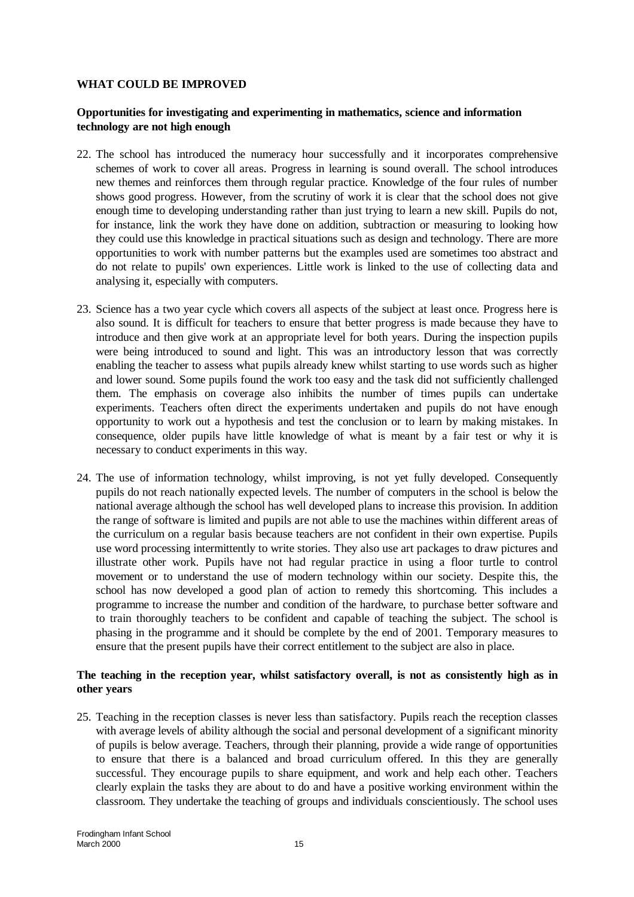### **WHAT COULD BE IMPROVED**

#### **Opportunities for investigating and experimenting in mathematics, science and information technology are not high enough**

- 22. The school has introduced the numeracy hour successfully and it incorporates comprehensive schemes of work to cover all areas. Progress in learning is sound overall. The school introduces new themes and reinforces them through regular practice. Knowledge of the four rules of number shows good progress. However, from the scrutiny of work it is clear that the school does not give enough time to developing understanding rather than just trying to learn a new skill. Pupils do not, for instance, link the work they have done on addition, subtraction or measuring to looking how they could use this knowledge in practical situations such as design and technology. There are more opportunities to work with number patterns but the examples used are sometimes too abstract and do not relate to pupils' own experiences. Little work is linked to the use of collecting data and analysing it, especially with computers.
- 23. Science has a two year cycle which covers all aspects of the subject at least once. Progress here is also sound. It is difficult for teachers to ensure that better progress is made because they have to introduce and then give work at an appropriate level for both years. During the inspection pupils were being introduced to sound and light. This was an introductory lesson that was correctly enabling the teacher to assess what pupils already knew whilst starting to use words such as higher and lower sound. Some pupils found the work too easy and the task did not sufficiently challenged them. The emphasis on coverage also inhibits the number of times pupils can undertake experiments. Teachers often direct the experiments undertaken and pupils do not have enough opportunity to work out a hypothesis and test the conclusion or to learn by making mistakes. In consequence, older pupils have little knowledge of what is meant by a fair test or why it is necessary to conduct experiments in this way.
- 24. The use of information technology, whilst improving, is not yet fully developed. Consequently pupils do not reach nationally expected levels. The number of computers in the school is below the national average although the school has well developed plans to increase this provision. In addition the range of software is limited and pupils are not able to use the machines within different areas of the curriculum on a regular basis because teachers are not confident in their own expertise. Pupils use word processing intermittently to write stories. They also use art packages to draw pictures and illustrate other work. Pupils have not had regular practice in using a floor turtle to control movement or to understand the use of modern technology within our society. Despite this, the school has now developed a good plan of action to remedy this shortcoming. This includes a programme to increase the number and condition of the hardware, to purchase better software and to train thoroughly teachers to be confident and capable of teaching the subject. The school is phasing in the programme and it should be complete by the end of 2001. Temporary measures to ensure that the present pupils have their correct entitlement to the subject are also in place.

## **The teaching in the reception year, whilst satisfactory overall, is not as consistently high as in other years**

25. Teaching in the reception classes is never less than satisfactory. Pupils reach the reception classes with average levels of ability although the social and personal development of a significant minority of pupils is below average. Teachers, through their planning, provide a wide range of opportunities to ensure that there is a balanced and broad curriculum offered. In this they are generally successful. They encourage pupils to share equipment, and work and help each other. Teachers clearly explain the tasks they are about to do and have a positive working environment within the classroom. They undertake the teaching of groups and individuals conscientiously. The school uses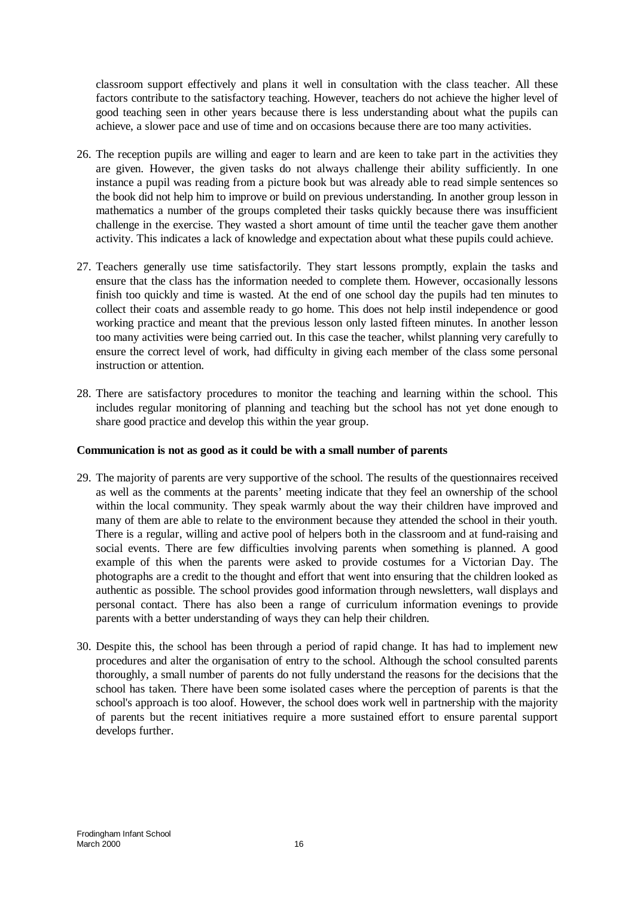classroom support effectively and plans it well in consultation with the class teacher. All these factors contribute to the satisfactory teaching. However, teachers do not achieve the higher level of good teaching seen in other years because there is less understanding about what the pupils can achieve, a slower pace and use of time and on occasions because there are too many activities.

- 26. The reception pupils are willing and eager to learn and are keen to take part in the activities they are given. However, the given tasks do not always challenge their ability sufficiently. In one instance a pupil was reading from a picture book but was already able to read simple sentences so the book did not help him to improve or build on previous understanding. In another group lesson in mathematics a number of the groups completed their tasks quickly because there was insufficient challenge in the exercise. They wasted a short amount of time until the teacher gave them another activity. This indicates a lack of knowledge and expectation about what these pupils could achieve.
- 27. Teachers generally use time satisfactorily. They start lessons promptly, explain the tasks and ensure that the class has the information needed to complete them. However, occasionally lessons finish too quickly and time is wasted. At the end of one school day the pupils had ten minutes to collect their coats and assemble ready to go home. This does not help instil independence or good working practice and meant that the previous lesson only lasted fifteen minutes. In another lesson too many activities were being carried out. In this case the teacher, whilst planning very carefully to ensure the correct level of work, had difficulty in giving each member of the class some personal instruction or attention.
- 28. There are satisfactory procedures to monitor the teaching and learning within the school. This includes regular monitoring of planning and teaching but the school has not yet done enough to share good practice and develop this within the year group.

## **Communication is not as good as it could be with a small number of parents**

- 29. The majority of parents are very supportive of the school. The results of the questionnaires received as well as the comments at the parents' meeting indicate that they feel an ownership of the school within the local community. They speak warmly about the way their children have improved and many of them are able to relate to the environment because they attended the school in their youth. There is a regular, willing and active pool of helpers both in the classroom and at fund-raising and social events. There are few difficulties involving parents when something is planned. A good example of this when the parents were asked to provide costumes for a Victorian Day. The photographs are a credit to the thought and effort that went into ensuring that the children looked as authentic as possible. The school provides good information through newsletters, wall displays and personal contact. There has also been a range of curriculum information evenings to provide parents with a better understanding of ways they can help their children.
- 30. Despite this, the school has been through a period of rapid change. It has had to implement new procedures and alter the organisation of entry to the school. Although the school consulted parents thoroughly, a small number of parents do not fully understand the reasons for the decisions that the school has taken. There have been some isolated cases where the perception of parents is that the school's approach is too aloof. However, the school does work well in partnership with the majority of parents but the recent initiatives require a more sustained effort to ensure parental support develops further.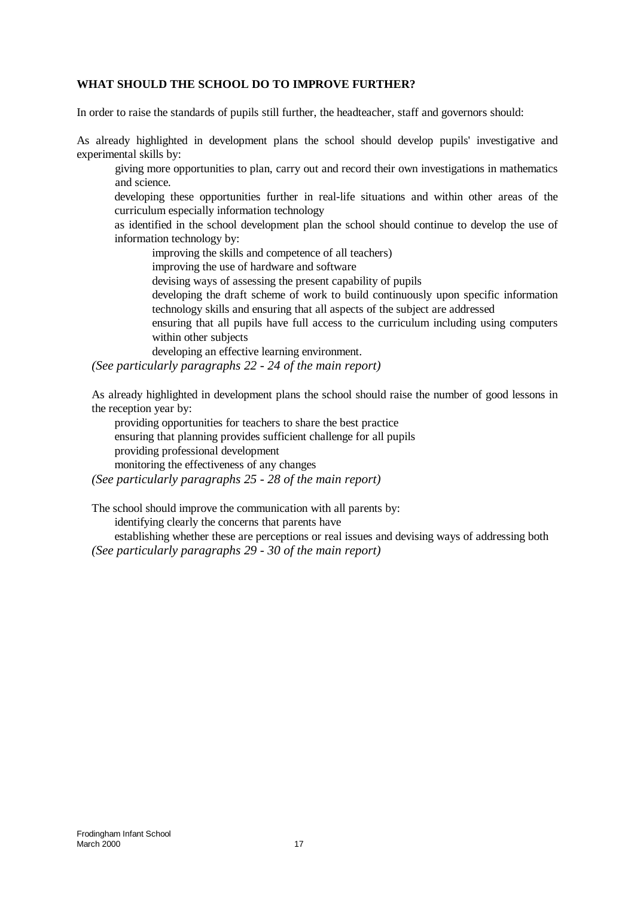## **WHAT SHOULD THE SCHOOL DO TO IMPROVE FURTHER?**

In order to raise the standards of pupils still further, the headteacher, staff and governors should:

As already highlighted in development plans the school should develop pupils' investigative and experimental skills by:

giving more opportunities to plan, carry out and record their own investigations in mathematics and science.

developing these opportunities further in real-life situations and within other areas of the curriculum especially information technology

as identified in the school development plan the school should continue to develop the use of information technology by:

improving the skills and competence of all teachers)

improving the use of hardware and software

devising ways of assessing the present capability of pupils

developing the draft scheme of work to build continuously upon specific information technology skills and ensuring that all aspects of the subject are addressed

ensuring that all pupils have full access to the curriculum including using computers within other subjects

developing an effective learning environment.

*(See particularly paragraphs 22 - 24 of the main report)*

As already highlighted in development plans the school should raise the number of good lessons in the reception year by:

providing opportunities for teachers to share the best practice ensuring that planning provides sufficient challenge for all pupils providing professional development monitoring the effectiveness of any changes

*(See particularly paragraphs 25 - 28 of the main report)*

The school should improve the communication with all parents by:

identifying clearly the concerns that parents have

establishing whether these are perceptions or real issues and devising ways of addressing both *(See particularly paragraphs 29 - 30 of the main report)*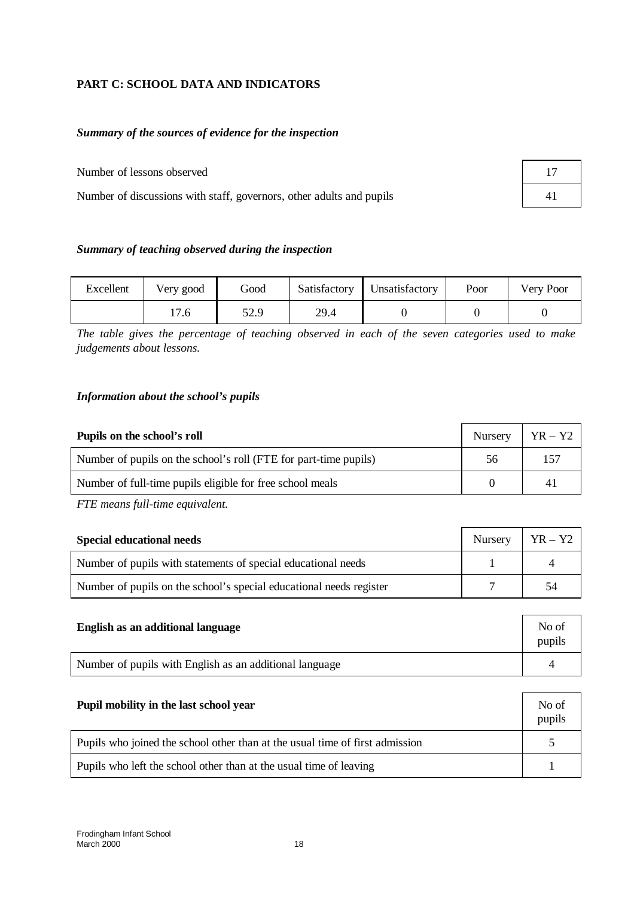# **PART C: SCHOOL DATA AND INDICATORS**

## *Summary of the sources of evidence for the inspection*

Number of lessons observed 17

Number of discussions with staff, governors, other adults and pupils 41

| 41 |  |  |
|----|--|--|
|    |  |  |

### *Summary of teaching observed during the inspection*

| Excellent | Very good | Good | Satisfactory | <b>Unsatisfactory</b> | Poor | Very Poor |
|-----------|-----------|------|--------------|-----------------------|------|-----------|
|           | 17.6      | 52.9 | 29.4         |                       |      |           |

*The table gives the percentage of teaching observed in each of the seven categories used to make judgements about lessons.*

## *Information about the school's pupils*

| Pupils on the school's roll                                      | Nursery | $YR - Y2$ |
|------------------------------------------------------------------|---------|-----------|
| Number of pupils on the school's roll (FTE for part-time pupils) | 56      | 157       |
| Number of full-time pupils eligible for free school meals        |         | 41        |

*FTE means full-time equivalent.*

| <b>Special educational needs</b>                                    | Nursery   $YR - Y2$ |     |
|---------------------------------------------------------------------|---------------------|-----|
| Number of pupils with statements of special educational needs       |                     |     |
| Number of pupils on the school's special educational needs register |                     | -54 |

| English as an additional language                       | No of<br>pupils |
|---------------------------------------------------------|-----------------|
| Number of pupils with English as an additional language |                 |

| Pupil mobility in the last school year                                       | No of<br>pupils |
|------------------------------------------------------------------------------|-----------------|
| Pupils who joined the school other than at the usual time of first admission |                 |
| Pupils who left the school other than at the usual time of leaving           |                 |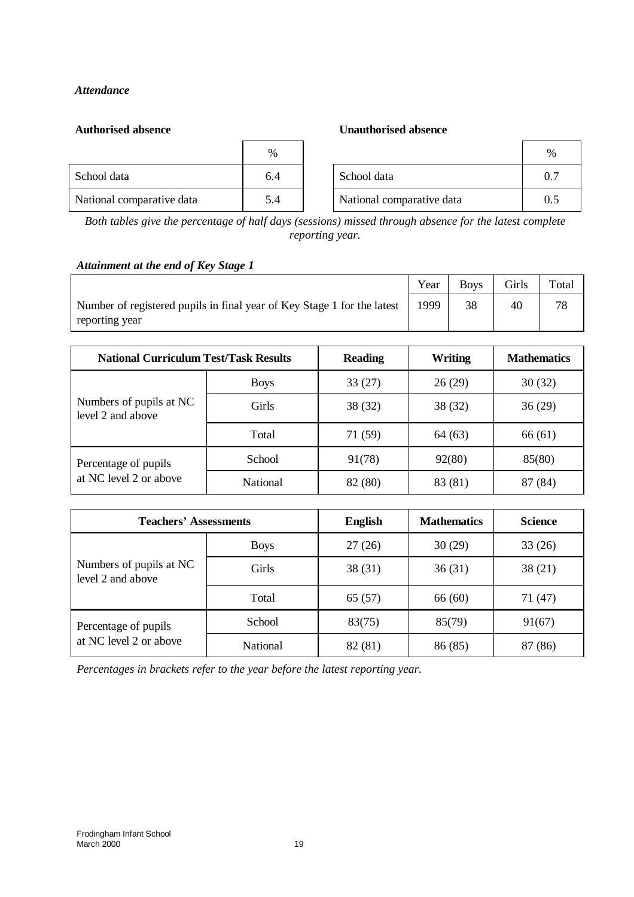# *Attendance*

#### **Authorised absence Unauthorised absence**

|                           | $\%$ |                           | $\%$ |
|---------------------------|------|---------------------------|------|
| School data               | 6.4  | School data               | 0.7  |
| National comparative data | 5.4  | National comparative data | 0.1  |

*Both tables give the percentage of half days (sessions) missed through absence for the latest complete reporting year.*

## *Attainment at the end of Key Stage 1*

|                                                                                           | Year | <b>Boys</b> | Girls | Total |
|-------------------------------------------------------------------------------------------|------|-------------|-------|-------|
| Number of registered pupils in final year of Key Stage 1 for the latest<br>reporting year | 1999 |             | 40    | 78    |
|                                                                                           |      |             |       |       |

| <b>National Curriculum Test/Task Results</b> |                 | <b>Reading</b> | Writing | <b>Mathematics</b> |
|----------------------------------------------|-----------------|----------------|---------|--------------------|
|                                              | <b>Boys</b>     | 33(27)         | 26(29)  | 30(32)             |
| Numbers of pupils at NC<br>level 2 and above | Girls           | 38 (32)        | 38 (32) | 36(29)             |
|                                              | Total           | 71 (59)        | 64 (63) | 66 (61)            |
| Percentage of pupils                         | School          | 91(78)         | 92(80)  | 85(80)             |
| at NC level 2 or above                       | <b>National</b> | 82 (80)        | 83 (81) | 87 (84)            |

| <b>Teachers' Assessments</b>                 |                 | <b>English</b> | <b>Mathematics</b> | <b>Science</b> |
|----------------------------------------------|-----------------|----------------|--------------------|----------------|
|                                              | <b>Boys</b>     | 27(26)         | 30(29)             | 33(26)         |
| Numbers of pupils at NC<br>level 2 and above | Girls           | 38(31)         | 36(31)             | 38(21)         |
|                                              | Total           | 65(57)         | 66(60)             | 71 (47)        |
| Percentage of pupils                         | School          | 83(75)         | 85(79)             | 91(67)         |
| at NC level 2 or above                       | <b>National</b> | 82 (81)        | 86 (85)            | 87 (86)        |

*Percentages in brackets refer to the year before the latest reporting year.*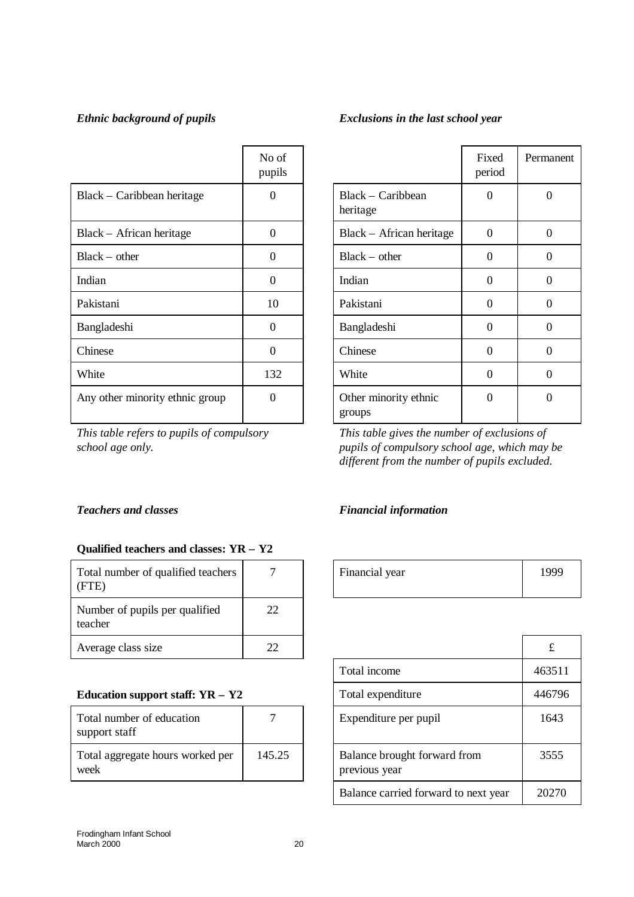|                                 | No of<br>pupils |                                 | Fixed<br>period | Perma            |
|---------------------------------|-----------------|---------------------------------|-----------------|------------------|
| Black – Caribbean heritage      | $\Omega$        | Black – Caribbean<br>heritage   | $\Omega$        | $\boldsymbol{0}$ |
| Black – African heritage        | $\Omega$        | Black – African heritage        | $\Omega$        | $\boldsymbol{0}$ |
| $Black - other$                 | $\Omega$        | $Black - other$                 | 0               | $\theta$         |
| Indian                          | $\Omega$        | Indian                          | $\Omega$        | $\overline{0}$   |
| Pakistani                       | 10              | Pakistani                       | $\Omega$        | $\overline{0}$   |
| Bangladeshi                     | $\Omega$        | Bangladeshi                     | $\Omega$        | $\overline{0}$   |
| Chinese                         | $\Omega$        | Chinese                         | $\Omega$        | $\overline{0}$   |
| White                           | 132             | White                           | $\Omega$        | $\overline{0}$   |
| Any other minority ethnic group | $\Omega$        | Other minority ethnic<br>groups | $\Omega$        | $\overline{0}$   |

*This table refers to pupils of compulsory school age only.*

# **Qualified teachers and classes: YR – Y2**

| Total number of qualified teachers<br>(FTE) |    | Financial year | 199 |
|---------------------------------------------|----|----------------|-----|
| Number of pupils per qualified<br>teacher   | 22 |                |     |
| Average class size                          | 22 |                |     |

# **Education support staff: YR - Y2**

| Total number of education<br>support staff |        |
|--------------------------------------------|--------|
| Total aggregate hours worked per<br>week   | 145.25 |

# *Ethnic background of pupils Exclusions in the last school year*

|                                 | Fixed<br>period | Permanent |
|---------------------------------|-----------------|-----------|
| Black – Caribbean<br>heritage   | 0               | 0         |
| Black – African heritage        | 0               | 0         |
| $Black - other$                 | 0               | 0         |
| Indian                          | 0               | $\Omega$  |
| Pakistani                       | 0               | 0         |
| Bangladeshi                     | 0               | ∩         |
| Chinese                         | 0               | 0         |
| White                           | 0               | 0         |
| Other minority ethnic<br>groups |                 |           |

*This table gives the number of exclusions of pupils of compulsory school age, which may be different from the number of pupils excluded.*

## *Teachers and classes Financial information*

| ⇁ | Financial year | 999 |
|---|----------------|-----|
|   |                |     |

| 22     |                                               | £      |
|--------|-----------------------------------------------|--------|
|        | Total income                                  | 463511 |
|        | Total expenditure                             | 446796 |
|        | Expenditure per pupil                         | 1643   |
| 145.25 | Balance brought forward from<br>previous year | 3555   |
|        | Balance carried forward to next year          | 20270  |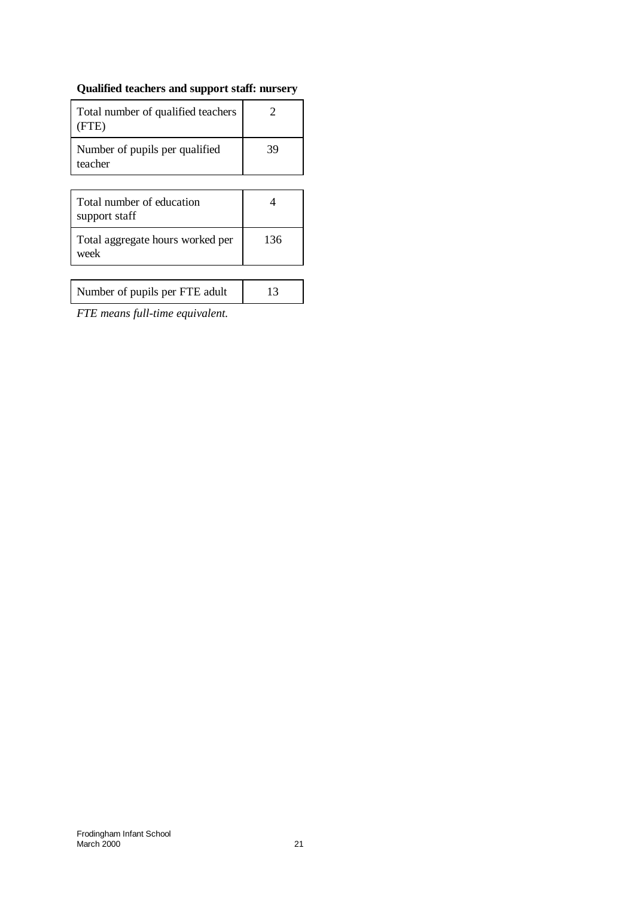# **Qualified teachers and support staff: nursery**

| Total number of qualified teachers<br>(FTE) |    |
|---------------------------------------------|----|
| Number of pupils per qualified<br>teacher   | 39 |

| Total number of education<br>support staff |     |
|--------------------------------------------|-----|
| Total aggregate hours worked per<br>week   | 136 |

*FTE means full-time equivalent.*